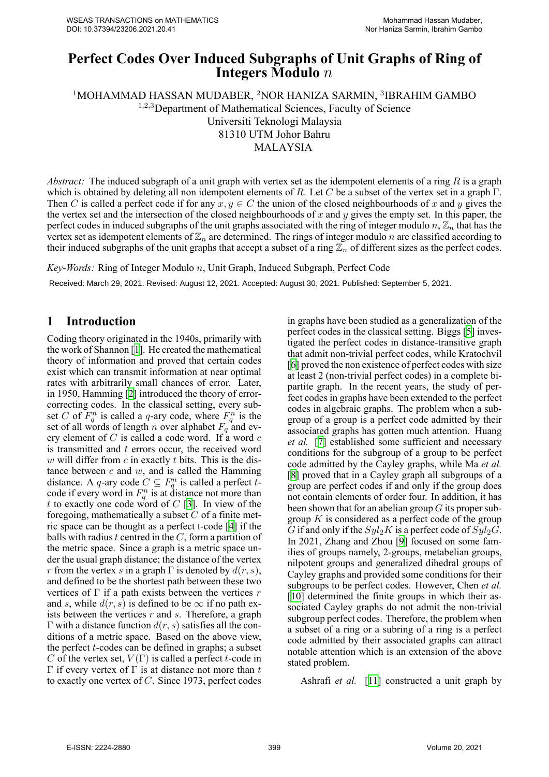# **Perfect Codes Over Induced Subgraphs of Unit Graphs of Ring of Integers Modulo** *n*

<sup>1</sup>MOHAMMAD HASSAN MUDABER, <sup>2</sup>NOR HANIZA SARMIN, <sup>3</sup>IBRAHIM GAMBO <sup>1</sup>*,*2*,*<sup>3</sup>Department of Mathematical Sciences, Faculty of Science Universiti Teknologi Malaysia 81310 UTM Johor Bahru MALAYSIA

*Abstract:* The induced subgraph of a unit graph with vertex set as the idempotent elements of a ring *R* is a graph which is obtained by deleting all non idempotent elements of *R*. Let *C* be a subset of the vertex set in a graph Γ. Then *C* is called a perfect code if for any  $x, y \in C$  the union of the closed neighbourhoods of *x* and *y* gives the the vertex set and the intersection of the closed neighbourhoods of *x* and *y* gives the empty set. In this paper, the perfect codes in induced subgraphs of the unit graphs associated with the ring of integer modulo  $n, \mathbb{Z}_n$  that has the vertex set as idempotent elements of  $\mathbb{Z}_n$  are determined. The rings of integer modulo *n* are classified according to their induced subgraphs of the unit graphs that accept a subset of a ring  $\mathbb{Z}_n$  of different sizes as the perfect codes.

*KeyWords:* Ring of Integer Modulo *n*, Unit Graph, Induced Subgraph, Perfect Code

Received: March 29, 2021. Revised: August 12, 2021. Accepted: August 30, 2021. Published: September 5, 2021.

### **1 Introduction**

Coding theory originated in the 1940s, primarily with the work of Shannon[[1](#page-3-0)]. He created the mathematical theory of information and proved that certain codes exist which can transmit information at near optimal rates with arbitrarily small chances of error. Later, in 1950, Hamming [\[2\]](#page-3-1) introduced the theory of errorcorrecting codes. In the classical setting, every subset *C* of  $F_q^n$  is called a *q*-ary code, where  $F_q^n$  is the set of all words of length *n* over alphabet  $F_q$  and every element of *C* is called a code word. If a word *c* is transmitted and *t* errors occur, the received word *w* will differ from *c* in exactly *t* bits. This is the distance between *c* and *w*, and is called the Hamming distance. A *q*-ary code  $C \subseteq F_q^n$  is called a perfect *t*code if every word in  $F_q^n$  is at distance not more than *t* to exactly one code word of *C* [[3](#page-3-2)]. In view of the foregoing, mathematically a subset *C* of a finite metric space can be thought as a perfect t-code  $[4]$  if the balls with radius *t* centred in the *C*, form a partition of the metric space. Since a graph is a metric space under the usual graph distance; the distance of the vertex *r* from the vertex *s* in a graph  $\Gamma$  is denoted by  $d(r, s)$ , and defined to be the shortest path between these two vertices of Γ if a path exists between the vertices *r* and *s*, while  $d(r, s)$  is defined to be  $\infty$  if no path exists between the vertices *r* and *s*. Therefore, a graph Γ with a distance function *d*(*r, s*) satisfies all the conditions of a metric space. Based on the above view, the perfect  $t$ -codes can be defined in graphs; a subset *C* of the vertex set,  $V(\Gamma)$  is called a perfect *t*-code in Γ if every vertex of Γ is at distance not more than *t* to exactly one vertex of *C*. Since 1973, perfect codes

in graphs have been studied as a generalization of the perfect codes in the classical setting. Biggs[[5](#page-3-4)] investigated the perfect codes in distance-transitive graph that admit non-trivial perfect codes, while Kratochvil [\[6\]](#page-3-5) proved the non existence of perfect codes with size at least 2 (non-trivial perfect codes) in a complete bipartite graph. In the recent years, the study of perfect codes in graphs have been extended to the perfect codes in algebraic graphs. The problem when a subgroup of a group is a perfect code admitted by their associated graphs has gotten much attention. Huang *et al.* [\[7](#page-3-6)] established some sufficient and necessary conditions for the subgroup of a group to be perfect code admitted by the Cayley graphs, while Ma *et al.* [\[8\]](#page-3-7) proved that in a Cayley graph all subgroups of a group are perfect codes if and only if the group does not contain elements of order four. In addition, it has been shown that for an abelian group *G* its proper subgroup *K* is considered as a perfect code of the group *G* if and only if the  $Syl_2K$  is a perfect code of  $Syl_2G$ . In 2021, Zhang and Zhou[[9](#page-3-8)] focused on some families of groups namely, 2-groups, metabelian groups, nilpotent groups and generalized dihedral groups of Cayley graphs and provided some conditions for their subgroups to be perfect codes. However, Chen *et al.* [\[10](#page-3-9)] determined the finite groups in which their associated Cayley graphs do not admit the non-trivial subgroup perfect codes. Therefore, the problem when a subset of a ring or a subring of a ring is a perfect code admitted by their associated graphs can attract notable attention which is an extension of the above stated problem.

Ashrafi *et al.* [\[11\]](#page-3-10) constructed a unit graph by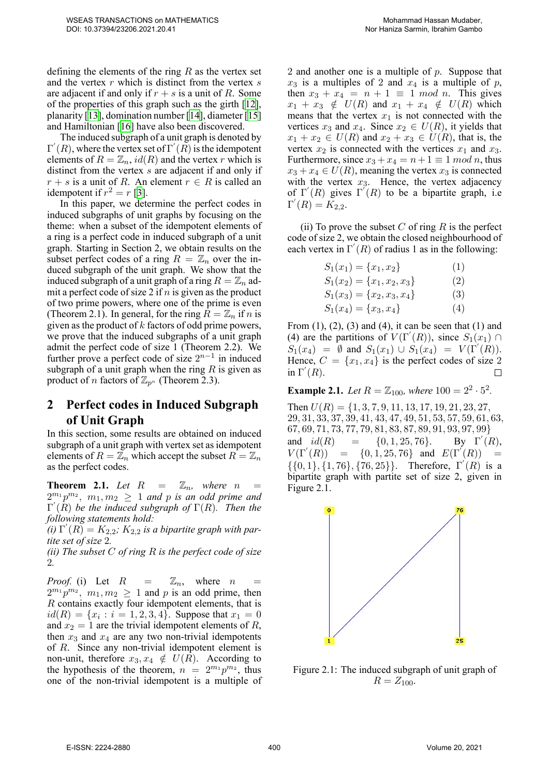defining the elements of the ring *R* as the vertex set and the vertex *r* which is distinct from the vertex *s* are adjacent if and only if  $r + s$  is a unit of R. Some of the properties of this graph such as the girth [\[12](#page-3-11)], planarity [\[13](#page-4-0)], domination number[[14\]](#page-4-1), diameter[[15\]](#page-4-2) and Hamiltonian[[16\]](#page-4-3) have also been discovered.

The induced subgraph of a unit graph is denoted by  $\Gamma'(R)$ , where the vertex set of  $\Gamma'(R)$  is the idempotent elements of  $R = \mathbb{Z}_n$ , *id*(*R*) and the vertex *r* which is distinct from the vertex *s* are adjacent if and only if  $r + s$  is a unit of *R*. An element  $r \in R$  is called an idempotent if  $r^2 = r$  [[3](#page-3-2)].

In this paper, we determine the perfect codes in induced subgraphs of unit graphs by focusing on the theme: when a subset of the idempotent elements of a ring is a perfect code in induced subgraph of a unit graph. Starting in Section 2, we obtain results on the subset perfect codes of a ring  $R = \mathbb{Z}_n$  over the induced subgraph of the unit graph. We show that the induced subgraph of a unit graph of a ring  $R = \mathbb{Z}_n$  admit a perfect code of size 2 if *n* is given as the product of two prime powers, where one of the prime is even (Theorem 2.1). In general, for the ring  $R = \mathbb{Z}_n$  if *n* is given as the product of *k* factors of odd prime powers, we prove that the induced subgraphs of a unit graph admit the perfect code of size 1 (Theorem 2.2). We further prove a perfect code of size  $2^{n-1}$  in induced subgraph of a unit graph when the ring *R* is given as product of *n* factors of  $\mathbb{Z}_{p^n}$  (Theorem 2.3).

## **2 Perfect codes in Induced Subgraph of Unit Graph**

In this section, some results are obtained on induced subgraph of a unit graph with vertex set as idempotent elements of  $R = \mathbb{Z}_n$  which accept the subset  $R = \mathbb{Z}_n$ as the perfect codes.

**Theorem 2.1.** Let  $R = \mathbb{Z}_n$ , where  $n =$  $2^{m_1}p^{m_2}$ ,  $m_1, m_2 \geq 1$  and p is an odd prime and Γ *′* (*R*) *be the induced subgraph of* Γ(*R*)*. Then the following statements hold:*

 $f(i) \Gamma'(R) = K_{2,2}$ ;  $K_{2,2}$  *is a bipartite graph with partite set of size* 2*.*

*(ii) The subset C of ring R is the perfect code of size* 2*.*

*Proof.* (i) Let  $R = \mathbb{Z}_n$ , where *n*  $2^{m_1} p^{m_2}$ ,  $m_1, m_2 \ge 1$  and p is an odd prime, then *R* contains exactly four idempotent elements, that is  $id(R) = \{x_i : i = 1, 2, 3, 4\}$ . Suppose that  $x_1 = 0$ and  $x_2 = 1$  are the trivial idempotent elements of *R*, then  $x_3$  and  $x_4$  are any two non-trivial idempotents of *R*. Since any non-trivial idempotent element is non-unit, therefore  $x_3, x_4 \notin U(R)$ . According to the hypothesis of the theorem,  $n = 2^{m_1} p^{m_2}$ , thus one of the non-trivial idempotent is a multiple of 2 and another one is a multiple of *p*. Suppose that  $x_3$  is a multiples of 2 and  $x_4$  is a multiple of  $p$ , then  $x_3 + x_4 = n + 1 \equiv 1 \mod n$ . This gives  $x_1 + x_3 \notin U(R)$  and  $x_1 + x_4 \notin U(R)$  which means that the vertex  $x_1$  is not connected with the vertices  $x_3$  and  $x_4$ . Since  $x_2 \in U(R)$ , it yields that *x*<sub>1</sub> + *x*<sub>2</sub> ∈ *U*(*R*) and *x*<sub>2</sub> + *x*<sub>3</sub> ∈ *U*(*R*), that is, the vertex  $x_2$  is connected with the vertices  $x_1$  and  $x_3$ . Furthermore, since  $x_3 + x_4 = n + 1 \equiv 1 \mod n$ , thus  $x_3 + x_4 \in U(R)$ , meaning the vertex  $x_3$  is connected with the vertex  $x_3$ . Hence, the vertex adjacency of  $\Gamma'(R)$  gives  $\Gamma'(R)$  to be a bipartite graph, i.e  $\Gamma'(R) = K_{2,2}.$ 

(ii) To prove the subset  $C$  of ring  $R$  is the perfect code of size 2, we obtain the closed neighbourhood of each vertex in  $\Gamma'(R)$  of radius 1 as in the following:

| $S_1(x_1) = \{x_1, x_2\}$      | (1) |
|--------------------------------|-----|
| $S_1(x_2) = \{x_1, x_2, x_3\}$ | (2) |
| $S_1(x_3) = \{x_2, x_3, x_4\}$ | (3) |
| $S_1(x_4) = \{x_3, x_4\}$      | (4) |

From  $(1)$ ,  $(2)$ ,  $(3)$  and  $(4)$ , it can be seen that  $(1)$  and (4) are the partitions of  $V(\Gamma'(R))$ , since  $S_1(x_1) \cap$  $S_1(x_4) = \emptyset$  and  $S_1(x_1) \cup S_1(x_4) = V(\Gamma'(R)).$ Hence,  $C = \{x_1, x_4\}$  is the perfect codes of size 2 in  $\Gamma'(R)$ .  $\Box$ 

**Example 2.1.** *Let*  $R = \mathbb{Z}_{100}$ *, where*  $100 = 2^2 \cdot 5^2$ *.* 

Then *U*(*R*) = *{*1*,* 3*,* 7*,* 9*,* 11*,* 13*,* 17*,* 19*,* 21*,* 23*,* 27*,* 29*,* 31*,* 33*,* 37*,* 39*,* 41*,* 43*,* 47*,* 49*,* 51*,* 53*,* 57*,* 59*,* 61*,* 63*,* 67*,* 69*,* 71*,* 73*,* 77*,* 79*,* 81*,* 83*,* 87*,* 89*,* 91*,* 93*,* 97*,* 99*}* and  $id(R) = \{0, 1, 25, 76\}.$ *′* (*R*),  $V(\Gamma'(R)) = \{0, 1, 25, 76\}$  and  $E(\Gamma'(R)) =$ *{{*0*,* 1*}, {*1*,* 76*}, {*76*,* 25*}}*. Therefore, Γ *′* (*R*) is a bipartite graph with partite set of size 2, given in Figure 2.1.



Figure 2.1: The induced subgraph of unit graph of  $R = Z_{100}$ .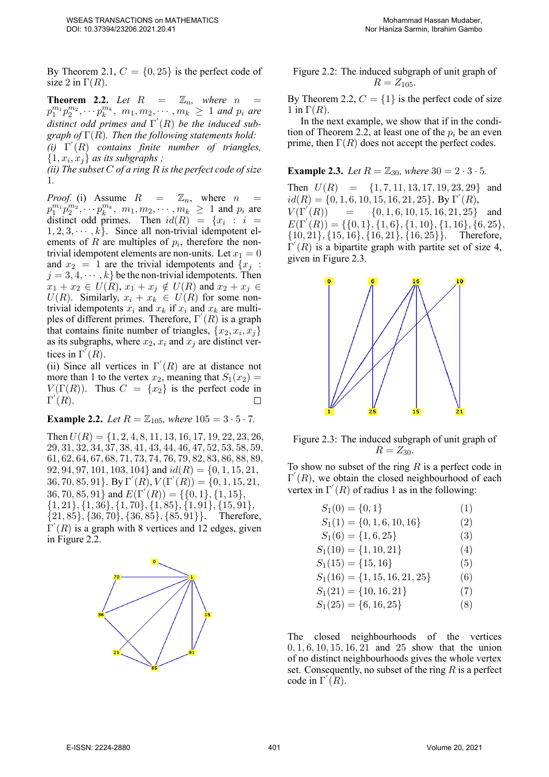By Theorem 2.1,  $C = \{0, 25\}$  is the perfect code of size 2 in  $\Gamma(R)$ .

**Theorem 2.2.** Let  $R = \mathbb{Z}_n$ , where *n*  $p_1^{m_1} p_2^{m_2}, \cdots p_k^{m_k}, m_1, m_2, \cdots, m_k \ge 1$  and  $p_i$  are *distinct odd primes and* Γ *′* (*R*) *be the induced subgraph of* Γ(*R*)*. Then the following statements hold: (i)* Γ *′* (*R*) *contains finite number of triangles,*  $\{1, x_i, x_j\}$  *as its subgraphs* ;

*(ii) The subset C of a ring R is the perfect code of size* 1*.*

*Proof.* (i) Assume  $R = \mathbb{Z}_n$ , where  $n =$  $p_1^{m_1} p_2^{m_2}$ ,  $\cdots$   $p_k^{m_k}$ ,  $m_1, m_2, \cdots, m_k \ge 1$  and  $p_i$  are distinct odd primes. Then  $id(R) = \{x_i : i =$  $1, 2, 3, \cdots, k$ . Since all non-trivial idempotent elements of  $R$  are multiples of  $p_i$ , therefore the nontrivial idempotent elements are non-units. Let  $x_1 = 0$ and  $x_2 = 1$  are the trivial idempotents and  $\{x_i :$  $j = 3, 4, \dots, k$  be the non-trivial idempotents. Then  $x_1 + x_2 \in U(R), x_1 + x_j \notin U(R)$  and  $x_2 + x_j \in$  $U(R)$ . Similarly,  $x_i + x_k \in U(R)$  for some nontrivial idempotents  $x_i$  and  $x_k$  if  $x_i$  and  $x_k$  are multiples of different primes. Therefore, Γ *′* (*R*) is a graph that contains finite number of triangles,  $\{x_2, x_i, x_j\}$ as its subgraphs, where  $x_2$ ,  $x_i$  and  $x_j$  are distinct vertices in  $\Gamma'(R)$ .

(ii) Since all vertices in  $\Gamma'(R)$  are at distance not more than 1 to the vertex  $x_2$ , meaning that  $S_1(x_2)$  = *V*( $\Gamma(R)$ ). Thus  $C = \{x_2\}$  is the perfect code in  $\Gamma'(R)$ .  $\Box$ 

**Example 2.2.** *Let*  $R = \mathbb{Z}_{105}$ *, where*  $105 = 3 \cdot 5 \cdot 7$ *.* 

Then*U*(*R*) = *{*1*,* 2*,* 4*,* 8*,* 11*,* 13*,* 16*,* 17*,* 19*,* 22*,* 23*,* 26*,* 29*,* 31*,* 32*,* 34*,* 37*,* 38*,* 41*,* 43*,* 44*,* 46*,* 47*,* 52*,* 53*,* 58*,* 59*,* 61*,* 62*,* 64*,* 67*,* 68*,* 71*,* 73*,* 74*,* 76*,* 79*,* 82*,* 83*,* 86*,* 88*,* 89*,* 92*,* 94*,* 97*,* 101*,* 103*,* 104*}* and *id*(*R*) = *{*0*,* 1*,* 15*,* 21*,*  $(36, 70, 85, 91)$ . By  $\Gamma'(R)$ ,  $V(\Gamma'(R)) = \{0, 1, 15, 21,$ 36*,* 70*,* 85*,* 91*}* and *E*(Γ*′* (*R*)) = *{{*0*,* 1*}, {*1*,* 15*}, {*1*,* 21*}, {*1*,* 36*}, {*1*,* 70*}, {*1*,* 85*}, {*1*,* 91*}, {*15*,* 91*}, {*21*,* 85*}, {*36*,* 70*}, {*36*,* 85*}, {*85*,* 91*}}*. Therefore, Γ *′* (*R*) is a graph with 8 vertices and 12 edges, given in Figure 2.2.



Figure 2.2: The induced subgraph of unit graph of  $R = Z_{105}$ .

By Theorem 2.2,  $C = \{1\}$  is the perfect code of size  $1$  in  $\Gamma(R)$ .

In the next example, we show that if in the condition of Theorem 2.2, at least one of the  $p_i$  be an even prime, then  $\Gamma(R)$  does not accept the perfect codes.

**Example 2.3.** Let 
$$
R = \mathbb{Z}_{30}
$$
, where  $30 = 2 \cdot 3 \cdot 5$ .

Then *U*(*R*) = *{*1*,* 7*,* 11*,* 13*,* 17*,* 19*,* 23*,* 29*}* and *id*(*R*) = *{*0*,* 1*,* 6*,* 10*,* 15*,* 16*,* 21*,* 25*}*. By Γ *′* (*R*),  $V(\Gamma'(R))$  $= {$ {0*,* 1*,* 6*,* 10*,* 15*,* 16*,* 21*,* 25} and *E*(Γ*′* (*R*)) = *{{*0*,* 1*}, {*1*,* 6*}, {*1*,* 10*}, {*1*,* 16*}, {*6*,* 25*}, {*10*,* 21*}, {*15*,* 16*}, {*16*,* 21*}, {*16*,* 25*}}*. Therefore,  $\Gamma'(R)$  is a bipartite graph with partite set of size 4, given in Figure 2.3.



Figure 2.3: The induced subgraph of unit graph of  $R = Z_{30}$ .

To show no subset of the ring *R* is a perfect code in Γ *′* (*R*), we obtain the closed neighbourhood of each vertex in  $\Gamma'(R)$  of radius 1 as in the following:

| $S_1(0) = \{0,1\}$                | (1) |
|-----------------------------------|-----|
| $S_1(1) = \{0, 1, 6, 10, 16\}$    | (2) |
| $S_1(6) = \{1, 6, 25\}$           | (3) |
| $S_1(10) = \{1, 10, 21\}$         | (4) |
| $S_1(15) = \{15, 16\}$            | (5) |
| $S_1(16) = \{1, 15, 16, 21, 25\}$ | (6) |
| $S_1(21) = \{10, 16, 21\}$        | (7) |
| $S_1(25) = \{6, 16, 25\}$         | (8) |

The closed neighbourhoods of the vertices 0*,* 1*,* 6*,* 10*,* 15*,* 16*,* 21 and 25 show that the union of no distinct neighbourhoods gives the whole vertex set. Consequently, no subset of the ring *R* is a perfect code in  $\Gamma'(R)$ .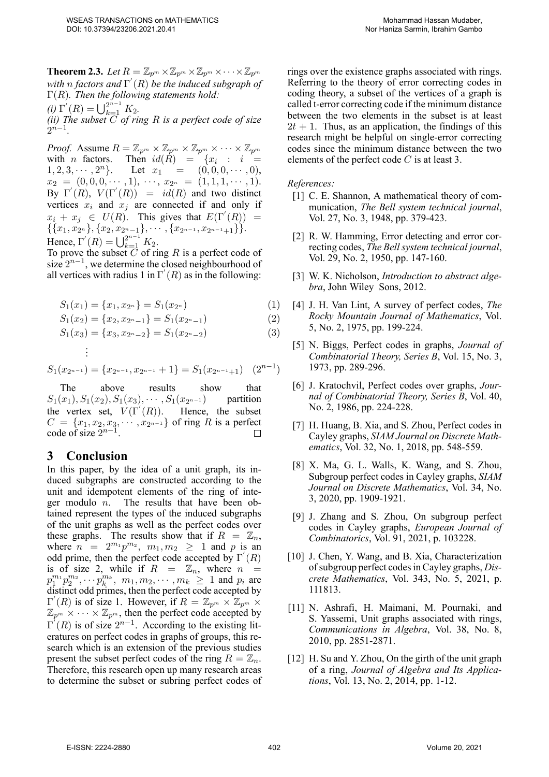**Theorem 2.3.** Let  $R = \mathbb{Z}_{p^m} \times \mathbb{Z}_{p^m} \times \mathbb{Z}_{p^m} \times \cdots \times \mathbb{Z}_{p^m}$ *with n factors and* Γ *′* (*R*) *be the induced subgraph of* Γ(*R*)*. Then the following statements hold:*  $(i) \Gamma'(R) = \bigcup_{k=1}^{2^{n-1}} K_2.$ 

*(ii) The subset C of ring R is a perfect code of size*  $2^{n-1}$ .

*Proof.* Assume  $R = \mathbb{Z}_{p^m} \times \mathbb{Z}_{p^m} \times \mathbb{Z}_{p^m} \times \cdots \times \mathbb{Z}_{p^m}$ with *n* factors. Then  $id(R) = \{x_i : i =$ 1, 2, 3,  $\cdots$ , 2<sup>*n*</sup></sub>}. Let  $x_1 = (0, 0, 0, \cdots, 0)$ ,  $x_2 = (0, 0, 0, \cdots, 1), \cdots, x_{2^n} = (1, 1, 1, \cdots, 1).$ By  $\Gamma'(R)$ ,  $V(\Gamma'(R)) = id(R)$  and two distinct vertices  $x_i$  and  $x_j$  are connected if and only if  $x_i + x_j \in U(R)$ . This gives that  $E(\Gamma'(R)) =$ *{{x*1*, x*<sup>2</sup> *<sup>n</sup> }, {x*2*, x*<sup>2</sup> *<sup>n</sup>−*1*}, · · · , {x*<sup>2</sup> *<sup>n</sup>−*<sup>1</sup> *, x*<sup>2</sup> *<sup>n</sup>−*<sup>1</sup>+1*}}*. Hence,  $\Gamma'(R) = \bigcup_{k=1}^{2^{n-1}} K_2$ .

To prove the subset *C* of ring *R* is a perfect code of size  $2^{n-1}$ , we determine the closed neighbourhood of all vertices with radius 1 in  $\Gamma'(R)$  as in the following:

$$
S_1(x_1) = \{x_1, x_{2^n}\} = S_1(x_{2^n})
$$
\n(1)

$$
S_1(x_2) = \{x_2, x_{2^n-1}\} = S_1(x_{2^n-1})
$$
\n(2)

$$
S_1(x_3) = \{x_3, x_{2^n-2}\} = S_1(x_{2^n-2})
$$
\n(3)

$$
\vdots
$$
  

$$
S_1(x_{2^{n-1}}) = \{x_{2^{n-1}}, x_{2^{n-1}} + 1\} = S_1(x_{2^{n-1}+1}) \quad (2^{n-1})
$$

The above results show that *<sup>n</sup>−*<sup>1</sup> ) partition  $S_1(x_1), S_1(x_2), S_1(x_3), \cdots, S_1(x_{2^{n-1}})$ the vertex set,  $V(\Gamma'(R))$ . Hence, the subset  $C = \{x_1, x_2, x_3, \dots, x_{2^{n-1}}\}$  of ring *R* is a perfect code of size 2 *n−*1 .  $\Box$ 

### **3 Conclusion**

In this paper, by the idea of a unit graph, its induced subgraphs are constructed according to the unit and idempotent elements of the ring of integer modulo *n*. The results that have been obtained represent the types of the induced subgraphs of the unit graphs as well as the perfect codes over these graphs. The results show that if  $R = \mathbb{Z}_n$ , where  $n = 2^{m_1} p^{m_2}$ ,  $m_1, m_2 \ge 1$  and p is an odd prime, then the perfect code accepted by Γ *′* (*R*) is of size 2, while if  $R = \mathbb{Z}_n$ , where  $n =$  $p_1^{m_1} p_2^{m_2}, \cdots p_k^{m_k}, \ m_1, m_2, \cdots, m_k \geq 1$  and  $p_i$  are distinct odd primes, then the perfect code accepted by  $\Gamma'(R)$  is of size 1. However, if  $R = \mathbb{Z}_{p^m} \times \mathbb{Z}_{p^m}$  $\mathbb{Z}_{p^m} \times \cdots \times \mathbb{Z}_{p^m}$ , then the perfect code accepted by  $\Gamma'(R)$  is of size  $2^{n-1}$ . According to the existing literatures on perfect codes in graphs of groups, this research which is an extension of the previous studies present the subset perfect codes of the ring  $R = \mathbb{Z}_n$ . Therefore, this research open up many research areas to determine the subset or subring perfect codes of rings over the existence graphs associated with rings. Referring to the theory of error correcting codes in coding theory, a subset of the vertices of a graph is called t-error correcting code if the minimum distance between the two elements in the subset is at least  $2t + 1$ . Thus, as an application, the findings of this research might be helpful on single-error correcting codes since the minimum distance between the two elements of the perfect code *C* is at least 3.

*References:*

- <span id="page-3-0"></span>[1] C. E. Shannon, A mathematical theory of communication, *The Bell system technical journal*, Vol. 27, No. 3, 1948, pp. 379-423.
- <span id="page-3-1"></span>[2] R. W. Hamming, Error detecting and error correcting codes, *The Bell system technical journal*, Vol. 29, No. 2, 1950, pp. 147-160.
- <span id="page-3-2"></span>[3] W. K. Nicholson, *Introduction to abstract algebra*, John Wiley Sons, 2012.
- <span id="page-3-3"></span>[4] J. H. Van Lint, A survey of perfect codes, *The Rocky Mountain Journal of Mathematics*, Vol. 5, No. 2, 1975, pp. 199-224.
- <span id="page-3-4"></span>[5] N. Biggs, Perfect codes in graphs, *Journal of Combinatorial Theory, Series B*, Vol. 15, No. 3, 1973, pp. 289-296.
- <span id="page-3-5"></span>[6] J. Kratochvil, Perfect codes over graphs, *Journal of Combinatorial Theory, Series B*, Vol. 40, No. 2, 1986, pp. 224-228.
- <span id="page-3-6"></span>[7] H. Huang, B. Xia, and S. Zhou, Perfect codes in Cayley graphs, *SIAM Journal on Discrete Mathematics*, Vol. 32, No. 1, 2018, pp. 548-559.
- <span id="page-3-7"></span>[8] X. Ma, G. L. Walls, K. Wang, and S. Zhou, Subgroup perfect codes in Cayley graphs, *SIAM Journal on Discrete Mathematics*, Vol. 34, No. 3, 2020, pp. 1909-1921.
- <span id="page-3-8"></span>[9] J. Zhang and S. Zhou, On subgroup perfect codes in Cayley graphs, *European Journal of Combinatorics*, Vol. 91, 2021, p. 103228.
- <span id="page-3-9"></span>[10] J. Chen, Y. Wang, and B. Xia, Characterization of subgroup perfect codes in Cayley graphs, *Discrete Mathematics*, Vol. 343, No. 5, 2021, p. 111813.
- <span id="page-3-10"></span>[11] N. Ashrafi, H. Maimani, M. Pournaki, and S. Yassemi, Unit graphs associated with rings, *Communications in Algebra*, Vol. 38, No. 8, 2010, pp. 2851-2871.
- <span id="page-3-11"></span>[12] H. Su and Y. Zhou, On the girth of the unit graph of a ring, *Journal of Algebra and Its Applications*, Vol. 13, No. 2, 2014, pp. 1-12.